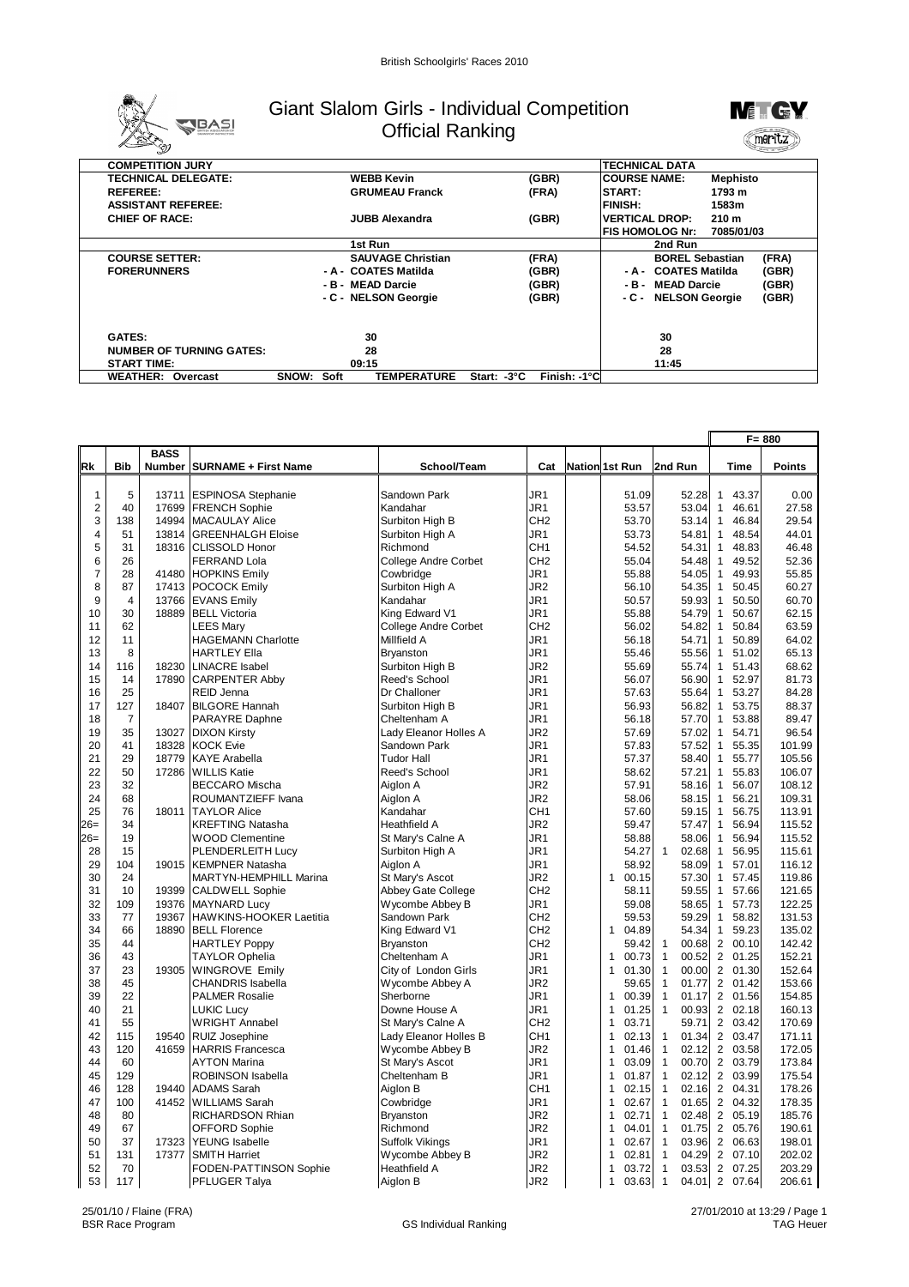

## Giant Slalom Girls - Individual Competition Official Ranking



| <b>COMPETITION JURY</b>         |                                            |                             | <b>TECHNICAL DATA</b>                     |            |
|---------------------------------|--------------------------------------------|-----------------------------|-------------------------------------------|------------|
| <b>TECHNICAL DELEGATE:</b>      | <b>WEBB Kevin</b>                          | (GBR)                       | <b>ICOURSE NAME:</b><br>Mephisto          |            |
| <b>REFEREE:</b>                 | <b>GRUMEAU Franck</b>                      | (FRA)                       | START:<br>1793 m                          |            |
| <b>ASSISTANT REFEREE:</b>       |                                            |                             | <b>FINISH:</b><br>1583m                   |            |
| <b>CHIEF OF RACE:</b>           | <b>JUBB Alexandra</b>                      | (GBR)                       | <b>VERTICAL DROP:</b><br>210 <sub>m</sub> |            |
|                                 |                                            |                             | IFIS HOMOLOG Nr:                          | 7085/01/03 |
|                                 | 1st Run                                    |                             | 2nd Run                                   |            |
| <b>COURSE SETTER:</b>           | <b>SAUVAGE Christian</b>                   | (FRA)                       | <b>BOREL Sebastian</b>                    | (FRA)      |
| <b>FORERUNNERS</b>              | - A - COATES Matilda                       | (GBR)                       | - A - COATES Matilda                      | (GBR)      |
|                                 | - B - MEAD Darcie                          | (GBR)                       | - B - MEAD Darcie                         | (GBR)      |
|                                 | - C - NELSON Georgie                       | (GBR)                       | - C - NELSON Georgie                      | (GBR)      |
| <b>GATES:</b>                   | 30                                         |                             | 30                                        |            |
| <b>NUMBER OF TURNING GATES:</b> | 28                                         |                             | 28                                        |            |
| <b>START TIME:</b>              | 09:15                                      |                             | 11:45                                     |            |
| <b>WEATHER: Overcast</b>        | <b>TEMPERATURE</b><br><b>SNOW:</b><br>Soft | Finish: -1°C<br>Start: -3°C |                                           |            |

|                |                |                |                                                   |                                         |                                    | $F = 880$             |                                       |                                                |                  |
|----------------|----------------|----------------|---------------------------------------------------|-----------------------------------------|------------------------------------|-----------------------|---------------------------------------|------------------------------------------------|------------------|
|                |                | <b>BASS</b>    |                                                   |                                         |                                    |                       |                                       |                                                |                  |
| Rk             | <b>Bib</b>     | Number         | <b>SURNAME + First Name</b>                       | School/Team                             | Cat                                | <b>Nation 1st Run</b> | 2nd Run                               | <b>Time</b>                                    | <b>Points</b>    |
|                |                |                |                                                   |                                         |                                    |                       |                                       |                                                |                  |
| $\mathbf{1}$   | 5              | 13711          | <b>ESPINOSA Stephanie</b>                         | Sandown Park                            | JR <sub>1</sub>                    | 51.09                 | 52.28                                 | $\mathbf{1}$<br>43.37                          | 0.00             |
| $\sqrt{2}$     | 40             | 17699          | <b>FRENCH Sophie</b>                              | Kandahar                                | JR1                                | 53.57                 | 53.04                                 | 46.61<br>$\mathbf{1}$                          | 27.58            |
| 3              | 138            | 14994          | <b>MACAULAY Alice</b>                             | Surbiton High B                         | CH <sub>2</sub>                    | 53.70                 | 53.14                                 | 46.84<br>$\mathbf{1}$                          | 29.54            |
| $\overline{4}$ | 51             | 13814          | <b>GREENHALGH Eloise</b>                          | Surbiton High A                         | JR1                                | 53.73                 | 54.81                                 | 48.54<br>$\mathbf{1}$                          | 44.01            |
| 5              | 31             | 18316          | <b>CLISSOLD Honor</b>                             | Richmond                                | CH1                                | 54.52                 | 54.31                                 | 48.83<br>$\mathbf{1}$                          | 46.48            |
| 6              | 26             |                | <b>FERRAND Lola</b>                               | College Andre Corbet                    | CH <sub>2</sub>                    | 55.04                 | 54.48                                 | 49.52<br>$\mathbf{1}$                          | 52.36            |
| $\overline{7}$ | 28             | 41480          | <b>HOPKINS Emily</b>                              | Cowbridge                               | JR1                                | 55.88                 | 54.05                                 | 49.93<br>$\overline{1}$                        | 55.85            |
| 8              | 87             | 17413          | <b>POCOCK Emily</b>                               | Surbiton High A                         | JR <sub>2</sub>                    | 56.10                 | 54.35                                 | $\mathbf{1}$<br>50.45                          | 60.27            |
| 9              | $\overline{4}$ | 13766          | <b>EVANS Emily</b>                                | Kandahar                                | JR1                                | 50.57                 | 59.93                                 | $\mathbf{1}$<br>50.50                          | 60.70            |
| 10             | 30             | 18889          | <b>BELL Victoria</b>                              | King Edward V1                          | JR1                                | 55.88                 | 54.79                                 | 50.67<br>$\mathbf{1}$                          | 62.15            |
| 11             | 62             |                | <b>LEES Mary</b>                                  | <b>College Andre Corbet</b>             | CH <sub>2</sub>                    | 56.02                 | 54.82                                 | $\mathbf{1}$<br>50.84                          | 63.59            |
| 12             | 11             |                | <b>HAGEMANN Charlotte</b>                         | Millfield A                             | JR1                                | 56.18                 | 54.71                                 | $\mathbf{1}$<br>50.89                          | 64.02            |
| 13             | 8              |                | <b>HARTLEY Ella</b>                               | <b>Bryanston</b>                        | JR <sub>1</sub>                    | 55.46                 | 55.56                                 | $\mathbf{1}$<br>51.02                          | 65.13            |
| 14             | 116            | 18230          | <b>LINACRE</b> Isabel                             | Surbiton High B                         | JR <sub>2</sub>                    | 55.69                 | 55.74                                 | 51.43<br>$\mathbf{1}$                          | 68.62            |
| 15             | 14             | 17890          | <b>CARPENTER Abby</b>                             | Reed's School                           | JR1                                | 56.07                 | 56.90                                 | 52.97<br>$\mathbf{1}$                          | 81.73            |
| 16             | 25             |                | REID Jenna                                        | Dr Challoner                            | JR1                                | 57.63                 | 55.64                                 | $\mathbf{1}$<br>53.27                          | 84.28            |
| 17             | 127            | 18407          | <b>BILGORE Hannah</b>                             | Surbiton High B                         | JR1                                | 56.93                 | 56.82                                 | $\mathbf{1}$<br>53.75                          | 88.37            |
| 18             | $\overline{7}$ |                | PARAYRE Daphne                                    | Cheltenham A                            | JR1                                | 56.18                 | 57.70                                 | 53.88<br>$\mathbf{1}$                          | 89.47            |
| 19             | 35             | 13027          | <b>DIXON Kirsty</b>                               | Lady Eleanor Holles A                   | JR2                                | 57.69                 | 57.02                                 | 54.71<br>$\mathbf{1}$                          | 96.54            |
| 20             | 41             | 18328          | <b>KOCK Evie</b>                                  | Sandown Park                            | JR1                                | 57.83                 | 57.52                                 | 55.35<br>$\mathbf{1}$                          | 101.99           |
| 21             | 29             | 18779          | <b>KAYE Arabella</b>                              | <b>Tudor Hall</b>                       | JR <sub>1</sub>                    | 57.37                 | 58.40                                 | $\mathbf{1}$<br>55.77                          | 105.56           |
| 22             | 50             | 17286          | <b>WILLIS Katie</b>                               | Reed's School                           | JR1                                | 58.62                 | 57.21                                 | $\mathbf{1}$<br>55.83                          | 106.07           |
| 23             | 32             |                | <b>BECCARO Mischa</b>                             | Aiglon A                                | JR <sub>2</sub>                    | 57.91                 | 58.16                                 | 56.07<br>$\mathbf{1}$                          | 108.12           |
| 24             | 68             |                | ROUMANTZIEFF Ivana                                | Aiglon A                                | JR2                                | 58.06                 | 58.15                                 | $\mathbf{1}$<br>56.21                          | 109.31           |
| 25             | 76             | 18011          | <b>TAYLOR Alice</b>                               | Kandahar                                | CH <sub>1</sub>                    | 57.60                 | 59.15                                 | $\mathbf{1}$<br>56.75                          | 113.91           |
| $26=$          | 34             |                | <b>KREFTING Natasha</b>                           | Heathfield A                            | JR <sub>2</sub>                    | 59.47                 | 57.47                                 | 56.94<br>$\mathbf{1}$                          | 115.52           |
| $26=$          | 19             |                | <b>WOOD Clementine</b>                            | St Mary's Calne A                       | JR <sub>1</sub>                    | 58.88                 | 58.06                                 | $\mathbf{1}$<br>56.94                          | 115.52           |
| 28             | 15             |                | PLENDERLEITH Lucy                                 | Surbiton High A                         | JR1                                | 54.27                 | $\mathbf{1}$<br>02.68                 | 56.95<br>$\mathbf{1}$                          | 115.61           |
| 29             | 104            | 19015          | <b>KEMPNER Natasha</b>                            | Aiglon A                                | JR1                                | 58.92<br>$\mathbf{1}$ | 58.09                                 | 57.01<br>$\mathbf{1}$                          | 116.12           |
| 30             | 24<br>10       |                | MARTYN-HEMPHILL Marina                            | St Mary's Ascot                         | JR <sub>2</sub>                    | 00.15                 | 57.30                                 | $\mathbf{1}$<br>57.45                          | 119.86           |
| 31<br>32       | 109            | 19399<br>19376 | <b>CALDWELL Sophie</b>                            | Abbey Gate College                      | CH <sub>2</sub><br>JR1             | 58.11<br>59.08        | 59.55<br>58.65                        | $\mathbf{1}$<br>57.66<br>57.73<br>$\mathbf{1}$ | 121.65<br>122.25 |
|                |                |                | <b>MAYNARD Lucy</b>                               | Wycombe Abbey B                         |                                    |                       |                                       |                                                |                  |
| 33<br>34       | 77<br>66       | 19367<br>18890 | HAWKINS-HOOKER Laetitia                           | Sandown Park                            | CH <sub>2</sub>                    | 59.53                 | 59.29<br>54.34                        | 58.82<br>$\mathbf{1}$<br>$\mathbf{1}$          | 131.53           |
| 35             | 44             |                | <b>BELL Florence</b>                              | King Edward V1                          | CH <sub>2</sub><br>CH <sub>2</sub> | 1 04.89<br>59.42      | 00.68                                 | 59.23<br>2 00.10                               | 135.02<br>142.42 |
| 36             | 43             |                | <b>HARTLEY Poppy</b>                              | <b>Brvanston</b><br>Cheltenham A        | JR1                                | 00.73<br>1            | $\mathbf{1}$<br>$\mathbf{1}$<br>00.52 | $\overline{2}$<br>01.25                        | 152.21           |
| 37             | 23             | 19305          | <b>TAYLOR Ophelia</b>                             |                                         |                                    | 1                     | $\mathbf{1}$<br>00.00                 | 2 01.30                                        |                  |
| 38             | 45             |                | <b>WINGROVE Emily</b><br><b>CHANDRIS Isabella</b> | City of London Girls<br>Wycombe Abbey A | JR1<br>JR <sub>2</sub>             | 01.30<br>59.65        | $\mathbf{1}$<br>01.77                 | 2 01.42                                        | 152.64<br>153.66 |
| 39             | 22             |                | <b>PALMER Rosalie</b>                             | Sherborne                               | JR <sub>1</sub>                    | 00.39<br>$\mathbf{1}$ | $\mathbf{1}$<br>01.17                 | $\overline{2}$<br>01.56                        | 154.85           |
| 40             | 21             |                | <b>LUKIC Lucy</b>                                 | Downe House A                           | JR1                                | 1<br>01.25            | 00.93<br>$\mathbf{1}$                 | 2 02.18                                        | 160.13           |
| 41             | 55             |                | <b>WRIGHT Annabel</b>                             | St Mary's Calne A                       | CH <sub>2</sub>                    | 03.71<br>1            | 59.71                                 | 2 03.42                                        | 170.69           |
| 42             | 115            | 19540          | <b>RUIZ Josephine</b>                             | Lady Eleanor Holles B                   | CH <sub>1</sub>                    | 02.13<br>$\mathbf{1}$ | 01.34<br>$\mathbf{1}$                 | 2 03.47                                        | 171.11           |
| 43             | 120            | 41659          | <b>HARRIS Francesca</b>                           | Wycombe Abbey B                         | JR <sub>2</sub>                    | 01.46<br>$\mathbf{1}$ | $\mathbf{1}$<br>02.12                 | 2 03.58                                        | 172.05           |
| 44             | 60             |                | <b>AYTON Marina</b>                               | St Mary's Ascot                         | JR1                                | 1<br>03.09            | $\mathbf{1}$<br>00.70                 | 2 03.79                                        | 173.84           |
| 45             | 129            |                | ROBINSON Isabella                                 | Cheltenham B                            | JR1                                | $\mathbf{1}$<br>01.87 | $\mathbf{1}$<br>02.12                 | 2 03.99                                        | 175.54           |
| 46             | 128            | 19440          | <b>ADAMS Sarah</b>                                | Aiglon B                                | CH <sub>1</sub>                    | 02.15<br>1            | 02.16<br>$\mathbf{1}$                 | 04.31<br>$\overline{2}$                        | 178.26           |
| 47             | 100            | 41452          | <b>WILLIAMS Sarah</b>                             | Cowbridge                               | JR1                                | $\mathbf{1}$<br>02.67 | $\mathbf{1}$<br>01.65                 | 2 04.32                                        | 178.35           |
| 48             | 80             |                | <b>RICHARDSON Rhian</b>                           | <b>Bryanston</b>                        | JR <sub>2</sub>                    | 02.71<br>$\mathbf{1}$ | 02.48<br>$\mathbf{1}$                 | 2 05.19                                        | 185.76           |
| 49             | 67             |                | <b>OFFORD Sophie</b>                              | Richmond                                | JR <sub>2</sub>                    | 1<br>04.01            | $\mathbf{1}$<br>01.75                 | $\overline{2}$<br>05.76                        | 190.61           |
| 50             | 37             | 17323          | <b>YEUNG</b> Isabelle                             | Suffolk Vikings                         | JR1                                | 1<br>02.67            | 03.96<br>$\mathbf{1}$                 | 2 06.63                                        | 198.01           |
| 51             | 131            | 17377          | <b>SMITH Harriet</b>                              | Wycombe Abbey B                         | JR <sub>2</sub>                    | 02.81<br>1            | $\mathbf{1}$<br>04.29                 | 2 07.10                                        | 202.02           |
| 52             | 70             |                | FODEN-PATTINSON Sophie                            | Heathfield A                            | JR <sub>2</sub>                    | 03.72<br>$\mathbf{1}$ | 03.53<br>$\mathbf{1}$                 | 2 07.25                                        | 203.29           |
| 53             | 117            |                | PFLUGER Talya                                     | Aiglon B                                | JR <sub>2</sub>                    | $\mathbf{1}$<br>03.63 | $\mathbf{1}$                          | 04.01 2 07.64                                  | 206.61           |
|                |                |                |                                                   |                                         |                                    |                       |                                       |                                                |                  |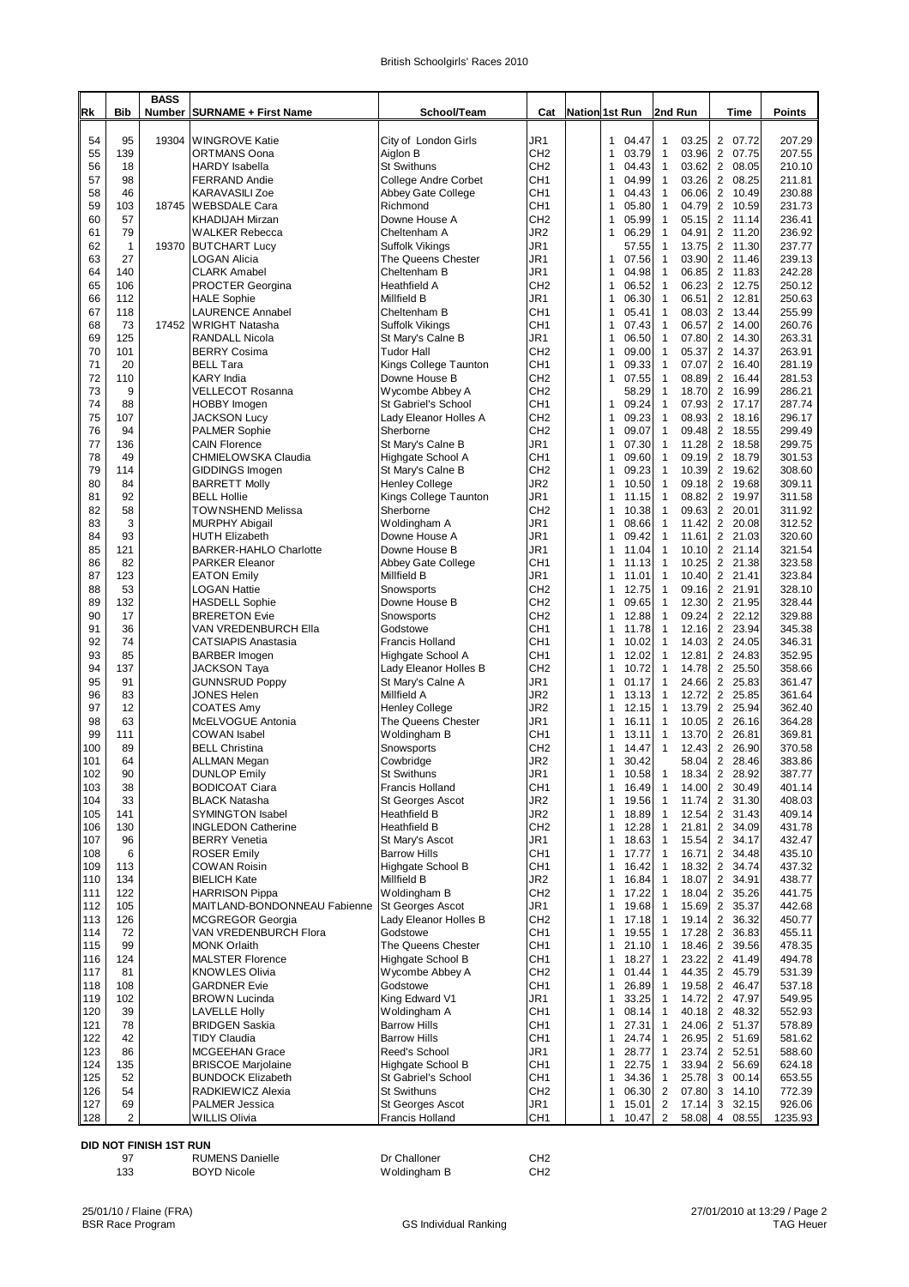| British Schoolgirls' Races 2010 |  |  |
|---------------------------------|--|--|
|---------------------------------|--|--|

| Rk         | <b>Bib</b>     | <b>BASS</b><br><b>Number</b> | <b>SURNAME + First Name</b>                            | School/Team                                  | Cat                                | <b>Nation 1st Run</b>    | 2nd Run                                        | Time                                               | <b>Points</b>    |
|------------|----------------|------------------------------|--------------------------------------------------------|----------------------------------------------|------------------------------------|--------------------------|------------------------------------------------|----------------------------------------------------|------------------|
|            |                |                              |                                                        |                                              |                                    |                          |                                                |                                                    |                  |
| 54<br>55   | 95<br>139      | 19304                        | <b>WINGROVE Katie</b><br>ORTMANS Oona                  | City of London Girls<br>Aiglon B             | JR1<br>CH <sub>2</sub>             | 04.47<br>1<br>03.79<br>1 | $\mathbf{1}$<br>03.25<br>$\mathbf{1}$<br>03.96 | 2 07.72<br>$\overline{2}$<br>07.75                 | 207.29<br>207.55 |
| 56         | 18             |                              | <b>HARDY</b> Isabella                                  | <b>St Swithuns</b>                           | CH <sub>2</sub>                    | 1<br>04.43               | $\mathbf{1}$<br>03.62                          | $\overline{2}$<br>08.05                            | 210.10           |
| 57         | 98             |                              | <b>FERRAND Andie</b>                                   | College Andre Corbet                         | CH1                                | 04.99<br>1               | $\mathbf{1}$<br>03.26                          | $\overline{2}$<br>08.25                            | 211.81           |
| 58         | 46             |                              | <b>KARAVASILI Zoe</b>                                  | Abbey Gate College                           | CH <sub>1</sub>                    | 1<br>04.43               | $\mathbf{1}$<br>06.06                          | $\overline{2}$<br>10.49                            | 230.88           |
| 59<br>60   | 103<br>57      | 18745                        | <b>WEBSDALE Cara</b><br><b>KHADIJAH Mirzan</b>         | Richmond<br>Downe House A                    | CH <sub>1</sub><br>CH <sub>2</sub> | 05.80<br>1<br>05.99<br>1 | $\mathbf{1}$<br>04.79<br>$\mathbf{1}$<br>05.15 | $\overline{2}$<br>10.59<br>11.14<br>2              | 231.73<br>236.41 |
| 61         | 79             |                              | <b>WALKER Rebecca</b>                                  | Cheltenham A                                 | JR <sub>2</sub>                    | 06.29<br>1               | $\mathbf{1}$<br>04.91                          | $\overline{2}$<br>11.20                            | 236.92           |
| 62         | 1              | 19370                        | <b>BUTCHART Lucy</b>                                   | Suffolk Vikings                              | JR1                                | 57.55                    | 13.75<br>$\mathbf{1}$                          | 2 11.30                                            | 237.77           |
| 63         | 27             |                              | LOGAN Alicia                                           | The Queens Chester                           | JR1                                | 07.56<br>1               | $\mathbf{1}$<br>03.90                          | $\overline{2}$<br>11.46                            | 239.13           |
| 64<br>65   | 140<br>106     |                              | <b>CLARK Amabel</b><br><b>PROCTER Georgina</b>         | Cheltenham B<br>Heathfield A                 | JR1<br>CH <sub>2</sub>             | 1<br>04.98<br>1<br>06.52 | $\mathbf{1}$<br>06.85<br>$\mathbf{1}$<br>06.23 | 2 11.83<br>$\overline{2}$<br>12.75                 | 242.28<br>250.12 |
| 66         | 112            |                              | <b>HALE Sophie</b>                                     | Millfield B                                  | JR1                                | 06.30<br>1               | $\mathbf{1}$<br>06.51                          | $\overline{2}$<br>12.81                            | 250.63           |
| 67         | 118            |                              | LAURENCE Annabel                                       | Cheltenham B                                 | CH <sub>1</sub>                    | 1<br>05.41               | $\mathbf{1}$<br>08.03                          | 2 13.44                                            | 255.99           |
| 68         | 73             | 17452                        | <b>WRIGHT Natasha</b>                                  | Suffolk Vikings                              | CH1                                | 07.43<br>1               | 06.57<br>$\mathbf{1}$                          | $\overline{2}$<br>14.00                            | 260.76           |
| 69<br>70   | 125<br>101     |                              | RANDALL Nicola<br><b>BERRY Cosima</b>                  | St Mary's Calne B<br><b>Tudor Hall</b>       | JR1<br>CH <sub>2</sub>             | 06.50<br>1<br>09.00<br>1 | 07.80<br>$\mathbf{1}$<br>$\mathbf{1}$<br>05.37 | 2 14.30<br>$\overline{2}$<br>14.37                 | 263.31<br>263.91 |
| 71         | 20             |                              | <b>BELL Tara</b>                                       | Kings College Taunton                        | CH <sub>1</sub>                    | 09.33<br>1               | $\mathbf{1}$<br>07.07                          | $\overline{2}$<br>16.40                            | 281.19           |
| 72         | 110            |                              | <b>KARY</b> India                                      | Downe House B                                | CH <sub>2</sub>                    | 1<br>07.55               | $\mathbf{1}$<br>08.89                          | $\overline{2}$<br>16.44                            | 281.53           |
| 73         | 9              |                              | VELLECOT Rosanna                                       | Wycombe Abbey A                              | CH <sub>2</sub>                    | 58.29                    | $\mathbf{1}$<br>18.70                          | $\overline{2}$<br>16.99<br>2 17.17                 | 286.21<br>287.74 |
| 74<br>75   | 88<br>107      |                              | <b>HOBBY Imogen</b><br>JACKSON Lucy                    | St Gabriel's School<br>Lady Eleanor Holles A | CH <sub>1</sub><br>CH <sub>2</sub> | 09.24<br>1<br>1<br>09.23 | $\mathbf{1}$<br>07.93<br>$\mathbf{1}$<br>08.93 | 2 18.16                                            | 296.17           |
| 76         | 94             |                              | <b>PALMER Sophie</b>                                   | Sherborne                                    | CH <sub>2</sub>                    | 09.07<br>1               | $\mathbf{1}$<br>09.48                          | $\overline{2}$<br>18.55                            | 299.49           |
| 77         | 136            |                              | <b>CAIN Florence</b>                                   | St Mary's Calne B                            | JR1                                | 07.30<br>1               | 11.28<br>$\mathbf{1}$                          | $\overline{2}$<br>18.58                            | 299.75           |
| 78         | 49             |                              | CHMIELOW SKA Claudia                                   | Highgate School A                            | CH <sub>1</sub>                    | 1<br>09.60               | $\mathbf{1}$<br>09.19                          | $\overline{2}$<br>18.79                            | 301.53           |
| 79<br>80   | 114<br>84      |                              | <b>GIDDINGS Imogen</b><br><b>BARRETT Molly</b>         | St Mary's Calne B<br><b>Henley College</b>   | CH <sub>2</sub><br>JR <sub>2</sub> | 09.23<br>1<br>1<br>10.50 | $\mathbf{1}$<br>10.39<br>$\mathbf{1}$<br>09.18 | $\overline{c}$<br>19.62<br>$\overline{2}$<br>19.68 | 308.60<br>309.11 |
| 81         | 92             |                              | <b>BELL Hollie</b>                                     | Kings College Taunton                        | JR1                                | 1<br>11.15               | $\mathbf{1}$<br>08.82                          | $\overline{2}$<br>19.97                            | 311.58           |
| 82         | 58             |                              | <b>TOWNSHEND Melissa</b>                               | Sherborne                                    | CH <sub>2</sub>                    | 1<br>10.38               | $\mathbf{1}$<br>09.63                          | $\overline{2}$<br>20.01                            | 311.92           |
| 83         | 3              |                              | <b>MURPHY Abigail</b>                                  | Woldingham A                                 | JR1                                | 1<br>08.66               | $\mathbf{1}$<br>11.42                          | $\overline{2}$<br>20.08                            | 312.52           |
| 84<br>85   | 93<br>121      |                              | <b>HUTH Elizabeth</b><br><b>BARKER-HAHLO Charlotte</b> | Downe House A<br>Downe House B               | JR1<br>JR1                         | 1<br>09.42<br>1<br>11.04 | $\mathbf{1}$<br>11.61<br>$\mathbf{1}$<br>10.10 | $\overline{2}$<br>21.03<br>2 21.14                 | 320.60<br>321.54 |
| 86         | 82             |                              | <b>PARKER Eleanor</b>                                  | Abbey Gate College                           | CH1                                | 11.13<br>1               | $\overline{1}$<br>10.25                        | 21.38<br>$\overline{2}$                            | 323.58           |
| 87         | 123            |                              | <b>EATON Emily</b>                                     | Millfield B                                  | JR1                                | 11.01<br>1               | 10.40<br>1                                     | 2 21.41                                            | 323.84           |
| 88         | 53             |                              | LOGAN Hattie                                           | Snowsports                                   | CH <sub>2</sub>                    | 12.75<br>1               | $\mathbf{1}$<br>09.16                          | $\overline{2}$<br>21.91                            | 328.10           |
| 89<br>90   | 132<br>17      |                              | <b>HASDELL Sophie</b><br><b>BRERETON Evie</b>          | Downe House B<br>Snowsports                  | CH <sub>2</sub><br>CH <sub>2</sub> | 1<br>09.65<br>1<br>12.88 | $\mathbf{1}$<br>12.30<br>$\mathbf{1}$<br>09.24 | 2 21.95<br>$\overline{2}$<br>22.12                 | 328.44<br>329.88 |
| 91         | 36             |                              | VAN VREDENBURCH Ella                                   | Godstowe                                     | CH1                                | 11.78<br>1               | $\mathbf{1}$<br>12.16                          | 2 23.94                                            | 345.38           |
| 92         | 74             |                              | <b>CATSIAPIS Anastasia</b>                             | Francis Holland                              | CH <sub>1</sub>                    | 1<br>10.02               | $\mathbf{1}$<br>14.03                          | 2 24.05                                            | 346.31           |
| 93<br>94   | 85<br>137      |                              | <b>BARBER Imogen</b>                                   | Highgate School A                            | CH1<br>CH <sub>2</sub>             | 12.02<br>1               | $\mathbf{1}$<br>12.81<br>$\mathbf{1}$          | $\overline{2}$<br>24.83<br>2 25.50                 | 352.95<br>358.66 |
| 95         | 91             |                              | <b>JACKSON Taya</b><br><b>GUNNSRUD Poppy</b>           | Lady Eleanor Holles B<br>St Mary's Calne A   | JR1                                | 10.72<br>1<br>01.17<br>1 | 14.78<br>$\mathbf{1}$<br>24.66                 | $\overline{2}$<br>25.83                            | 361.47           |
| 96         | 83             |                              | JONES Helen                                            | Millfield A                                  | JR <sub>2</sub>                    | 1<br>13.13               | 12.72<br>$\mathbf{1}$                          | $\overline{2}$<br>25.85                            | 361.64           |
| 97         | 12             |                              | <b>COATES Amy</b>                                      | <b>Henley College</b>                        | JR <sub>2</sub>                    | 12.15<br>1               | $\mathbf{1}$<br>13.79                          | $\overline{2}$<br>25.94                            | 362.40           |
| 98<br>99   | 63<br>111      |                              | McELVOGUE Antonia<br><b>COWAN</b> Isabel               | The Queens Chester<br>Woldingham B           | JR1<br>CH1                         | 16.11<br>1<br>13.11<br>1 | 1<br>10.05<br>$\mathbf{1}$<br>13.70            | $\overline{2}$<br>26.16<br>26.81<br>2              | 364.28<br>369.81 |
| 100        | 89             |                              | BELL Christina                                         | Snowsports                                   | CH <sub>2</sub>                    | 14.47<br>1               | $\mathbf{1}$<br>12.43                          | $\overline{2}$<br>26.90                            | 370.58           |
| 101        | 64             |                              | <b>ALLMAN Megan</b>                                    | Cowbridge                                    | JR <sub>2</sub>                    | 30.42<br>1               | 58.04                                          | 2 28.46                                            | 383.86           |
| 102        | 90             |                              | <b>DUNLOP Emily</b>                                    | St Swithuns                                  | JR 1                               | 10.58                    | 18.34                                          | 2<br>28.92                                         | 387.77           |
| 103        | 38             |                              | BODICOAT Ciara                                         | Francis Holland                              | CH <sub>1</sub>                    | 16.49<br>1               | 14.00<br>$\mathbf 1$                           | $\overline{2}$<br>30.49                            | 401.14           |
| 104<br>105 | 33<br>141      |                              | <b>BLACK Natasha</b><br><b>SYMINGTON Isabel</b>        | St Georges Ascot<br><b>Heathfield B</b>      | JR2<br>JR2                         | 1<br>19.56<br>1<br>18.89 | 11.74<br>1<br>12.54<br>1                       | $\overline{c}$<br>31.30<br>$\overline{c}$<br>31.43 | 408.03<br>409.14 |
| 106        | 130            |                              | <b>INGLEDON Catherine</b>                              | <b>Heathfield B</b>                          | CH <sub>2</sub>                    | 1<br>12.28               | $\mathbf{1}$<br>21.81                          | $\overline{2}$<br>34.09                            | 431.78           |
| 107        | 96             |                              | <b>BERRY Venetia</b>                                   | St Mary's Ascot                              | JR1                                | 18.63<br>1               | 15.54<br>$\mathbf 1$                           | 2 34.17                                            | 432.47           |
| 108<br>109 | 6              |                              | <b>ROSER Emily</b><br><b>COWAN Roisin</b>              | <b>Barrow Hills</b>                          | CH1                                | 1<br>17.77               | $\mathbf{1}$<br>16.71                          | 34.48<br>$\overline{2}$                            | 435.10           |
| 110        | 113<br>134     |                              | <b>BIELICH Kate</b>                                    | Highgate School B<br>Millfield B             | CH1<br>JR2                         | 1<br>16.42<br>1<br>16.84 | 18.32<br>$\mathbf 1$<br>18.07<br>$\mathbf{1}$  | 2<br>34.74<br>$\overline{2}$<br>34.91              | 437.32<br>438.77 |
| 111        | 122            |                              | <b>HARRISON Pippa</b>                                  | Woldingham B                                 | CH2                                | 17.22<br>1               | 18.04<br>$\mathbf 1$                           | 2<br>35.26                                         | 441.75           |
| 112        | 105            |                              | MAITLAND-BONDONNEAU Fabienne                           | St Georges Ascot                             | JR1                                | 1<br>19.68               | 15.69<br>$\mathbf{1}$                          | 2<br>35.37                                         | 442.68           |
| 113        | 126            |                              | <b>MCGREGOR Georgia</b>                                | Lady Eleanor Holles B                        | CH <sub>2</sub>                    | 1<br>17.18               | $\mathbf{1}$<br>19.14                          | $\overline{c}$<br>36.32                            | 450.77           |
| 114<br>115 | 72<br>99       |                              | VAN VREDENBURCH Flora<br><b>MONK Orlaith</b>           | Godstowe<br>The Queens Chester               | CH1<br>CH <sub>1</sub>             | 1<br>19.55<br>21.10<br>1 | 17.28<br>1<br>$\mathbf{1}$<br>18.46            | $\overline{2}$<br>36.83<br>2<br>39.56              | 455.11<br>478.35 |
| 116        | 124            |                              | <b>MALSTER Florence</b>                                | Highgate School B                            | CH1                                | 1<br>18.27               | 23.22<br>1                                     | 2<br>41.49                                         | 494.78           |
| 117        | 81             |                              | <b>KNOWLES Olivia</b>                                  | Wycombe Abbey A                              | CH <sub>2</sub>                    | 01.44<br>1               | 44.35<br>1                                     | $\overline{2}$<br>45.79                            | 531.39           |
| 118        | 108            |                              | <b>GARDNER Evie</b>                                    | Godstowe                                     | CH1                                | 1<br>26.89               | 19.58<br>1                                     | 2<br>46.47                                         | 537.18           |
| 119<br>120 | 102<br>39      |                              | <b>BROWN Lucinda</b><br><b>LAVELLE Holly</b>           | King Edward V1<br>Woldingham A               | JR1<br>CH1                         | 1<br>33.25<br>1<br>08.14 | 14.72<br>$\mathbf{1}$<br>40.18<br>1            | 2 47.97<br>$\overline{2}$<br>48.32                 | 549.95<br>552.93 |
| 121        | 78             |                              | <b>BRIDGEN Saskia</b>                                  | <b>Barrow Hills</b>                          | CH1                                | 1<br>27.31               | 24.06<br>1                                     | 2 51.37                                            | 578.89           |
| 122        | 42             |                              | <b>TIDY Claudia</b>                                    | <b>Barrow Hills</b>                          | CH <sub>1</sub>                    | 1<br>24.74               | $\mathbf{1}$<br>26.95                          | $\overline{2}$<br>51.69                            | 581.62           |
| 123        | 86             |                              | <b>MCGEEHAN Grace</b>                                  | Reed's School                                | JR1                                | 1<br>28.77               | 23.74<br>1                                     | 2 52.51                                            | 588.60           |
| 124<br>125 | 135            |                              | <b>BRISCOE Marjolaine</b>                              | Highgate School B                            | CH <sub>1</sub>                    | 1<br>22.75<br>1          | 1<br>33.94<br>$\mathbf{1}$                     | $\overline{2}$<br>56.69<br>3                       | 624.18           |
| 126        | 52<br>54       |                              | <b>BUNDOCK Elizabeth</b><br>RADKIEWICZ Alexia          | St Gabriel's School<br><b>St Swithuns</b>    | CH1<br>CH <sub>2</sub>             | 34.36<br>1<br>06.30      | 25.78<br>$\overline{2}$<br>07.80               | 00.14<br>3<br>14.10                                | 653.55<br>772.39 |
| 127        | 69             |                              | <b>PALMER Jessica</b>                                  | St Georges Ascot                             | JR1                                | 1<br>15.01               | $\overline{2}$<br>17.14                        | 3<br>32.15                                         | 926.06           |
| 128        | $\overline{2}$ |                              | WILLIS Olivia                                          | Francis Holland                              | CH <sub>1</sub>                    | 1<br>10.47               | $\overline{2}$<br>58.08                        | 08.55<br>$\overline{4}$                            | 1235.93          |

## **DID NOT FINISH 1ST RUN**

| 97  | <b>RUMENS Danielle</b> | Dr Challoner | CH2 |
|-----|------------------------|--------------|-----|
| 133 | <b>BOYD Nicole</b>     | Woldingham B | CH2 |